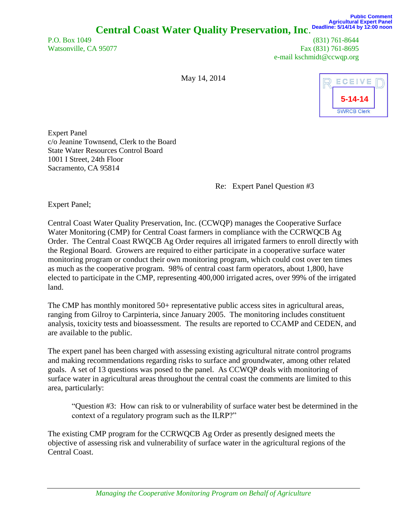P.O. Box 1049 (831) 761-8644 Watsonville, CA 95077 Fax (831) 761-8695 e-mail kschmidt@ccwqp.org

May 14, 2014



Expert Panel c/o Jeanine Townsend, Clerk to the Board State Water Resources Control Board 1001 I Street, 24th Floor Sacramento, CA 95814

Re: Expert Panel Question #3

Expert Panel;

Central Coast Water Quality Preservation, Inc. (CCWQP) manages the Cooperative Surface Water Monitoring (CMP) for Central Coast farmers in compliance with the CCRWQCB Ag Order. The Central Coast RWQCB Ag Order requires all irrigated farmers to enroll directly with the Regional Board. Growers are required to either participate in a cooperative surface water monitoring program or conduct their own monitoring program, which could cost over ten times as much as the cooperative program. 98% of central coast farm operators, about 1,800, have elected to participate in the CMP, representing 400,000 irrigated acres, over 99% of the irrigated land.

The CMP has monthly monitored 50+ representative public access sites in agricultural areas, ranging from Gilroy to Carpinteria, since January 2005. The monitoring includes constituent analysis, toxicity tests and bioassessment. The results are reported to CCAMP and CEDEN, and are available to the public.

The expert panel has been charged with assessing existing agricultural nitrate control programs and making recommendations regarding risks to surface and groundwater, among other related goals. A set of 13 questions was posed to the panel. As CCWQP deals with monitoring of surface water in agricultural areas throughout the central coast the comments are limited to this area, particularly:

"Question #3: How can risk to or vulnerability of surface water best be determined in the context of a regulatory program such as the ILRP?"

The existing CMP program for the CCRWQCB Ag Order as presently designed meets the objective of assessing risk and vulnerability of surface water in the agricultural regions of the Central Coast.